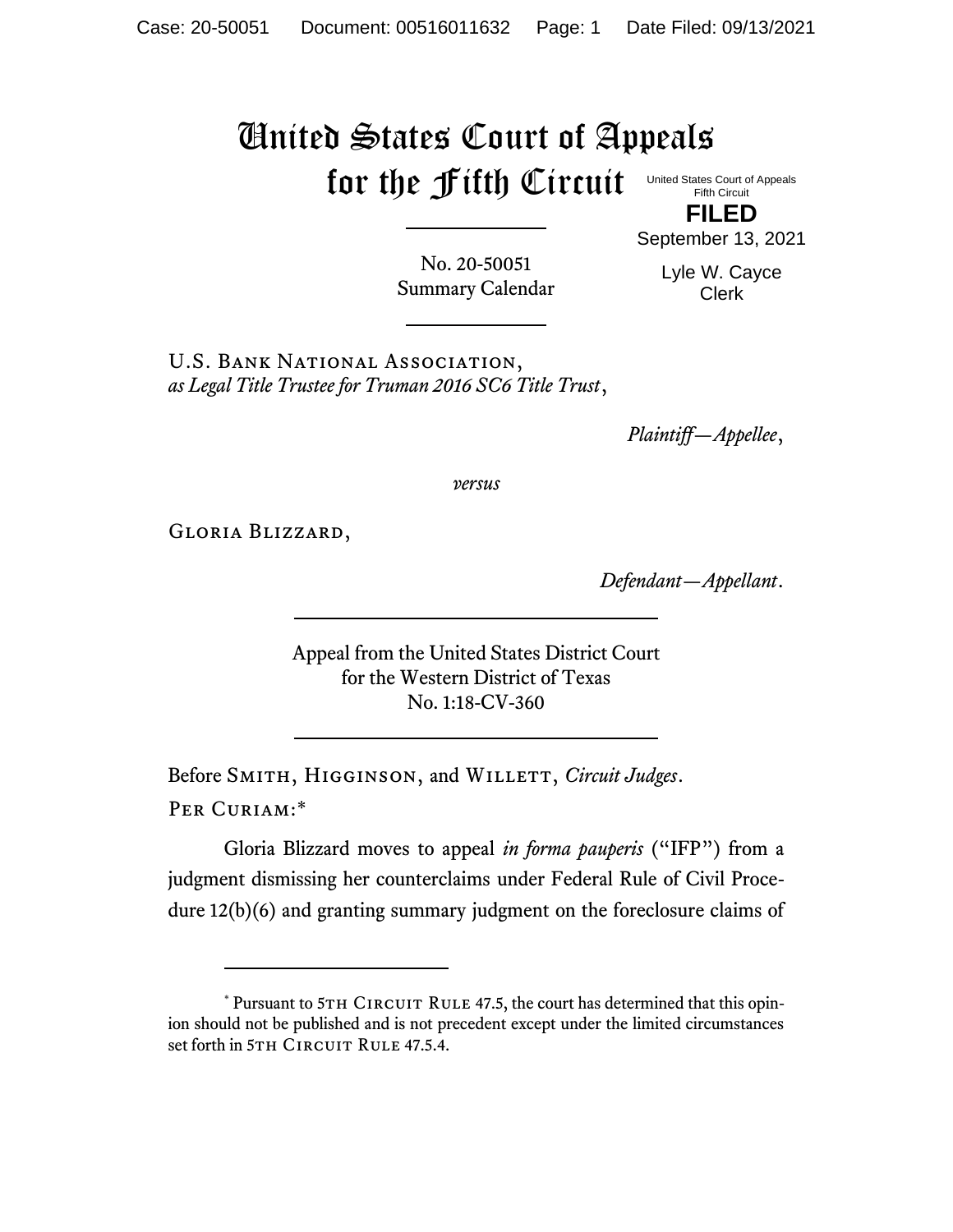## United States Court of Appeals for the Fifth Circuit

United States Court of Appeals Fifth Circuit

**FILED** September 13, 2021

No. 20-50051 Summary Calendar

Lyle W. Cayce Clerk

U.S. Bank National Association, *as Legal Title Trustee for Truman 2016 SC6 Title Trust*,

*Plaintiff—Appellee*,

*versus*

Gloria Blizzard,

*Defendant—Appellant*.

Appeal from the United States District Court for the Western District of Texas No. 1:18-CV-360

Before SMITH, HIGGINSON, and WILLETT, *Circuit Judges*. Per Curiam:\*

Gloria Blizzard moves to appeal *in forma pauperis* ("IFP") from a judgment dismissing her counterclaims under Federal Rule of Civil Procedure 12(b)(6) and granting summary judgment on the foreclosure claims of

<sup>\*</sup> Pursuant to 5TH CIRCUIT RULE 47.5, the court has determined that this opinion should not be published and is not precedent except under the limited circumstances set forth in 5TH CIRCUIT RULE 47.5.4.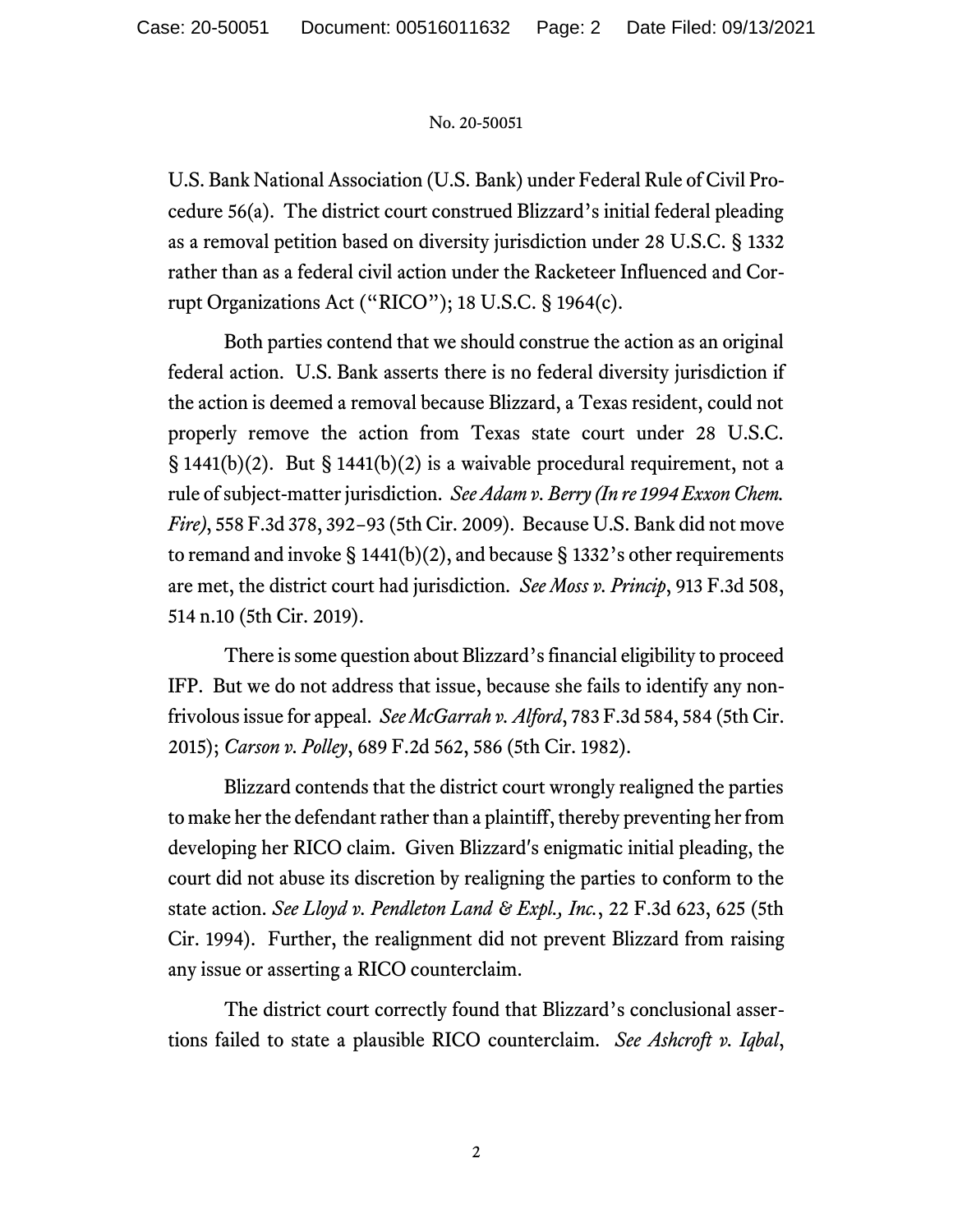## No. 20-50051

U.S. Bank National Association (U.S. Bank) under Federal Rule of Civil Procedure 56(a). The district court construed Blizzard's initial federal pleading as a removal petition based on diversity jurisdiction under 28 U.S.C. § 1332 rather than as a federal civil action under the Racketeer Influenced and Corrupt Organizations Act ("RICO"); 18 U.S.C. § 1964(c).

Both parties contend that we should construe the action as an original federal action. U.S. Bank asserts there is no federal diversity jurisdiction if the action is deemed a removal because Blizzard, a Texas resident, could not properly remove the action from Texas state court under 28 U.S.C. § 1441(b)(2). But § 1441(b)(2) is a waivable procedural requirement, not a rule of subject-matter jurisdiction. *See Adam v. Berry (In re 1994 Exxon Chem. Fire)*, 558 F.3d 378, 392−93 (5th Cir. 2009). Because U.S. Bank did not move to remand and invoke  $\S$  1441(b)(2), and because  $\S$  1332's other requirements are met, the district court had jurisdiction. *See Moss v. Princip*, 913 F.3d 508, 514 n.10 (5th Cir. 2019).

There is some question about Blizzard's financial eligibility to proceed IFP. But we do not address that issue, because she fails to identify any nonfrivolous issue for appeal. *See McGarrah v. Alford*, 783 F.3d 584, 584 (5th Cir. 2015); *Carson v. Polley*, 689 F.2d 562, 586 (5th Cir. 1982).

Blizzard contends that the district court wrongly realigned the parties to make her the defendant rather than a plaintiff, thereby preventing her from developing her RICO claim. Given Blizzard's enigmatic initial pleading, the court did not abuse its discretion by realigning the parties to conform to the state action. *See Lloyd v. Pendleton Land & Expl., Inc.*, 22 F.3d 623, 625 (5th Cir. 1994). Further, the realignment did not prevent Blizzard from raising any issue or asserting a RICO counterclaim.

The district court correctly found that Blizzard's conclusional assertions failed to state a plausible RICO counterclaim. *See Ashcroft v. Iqbal*,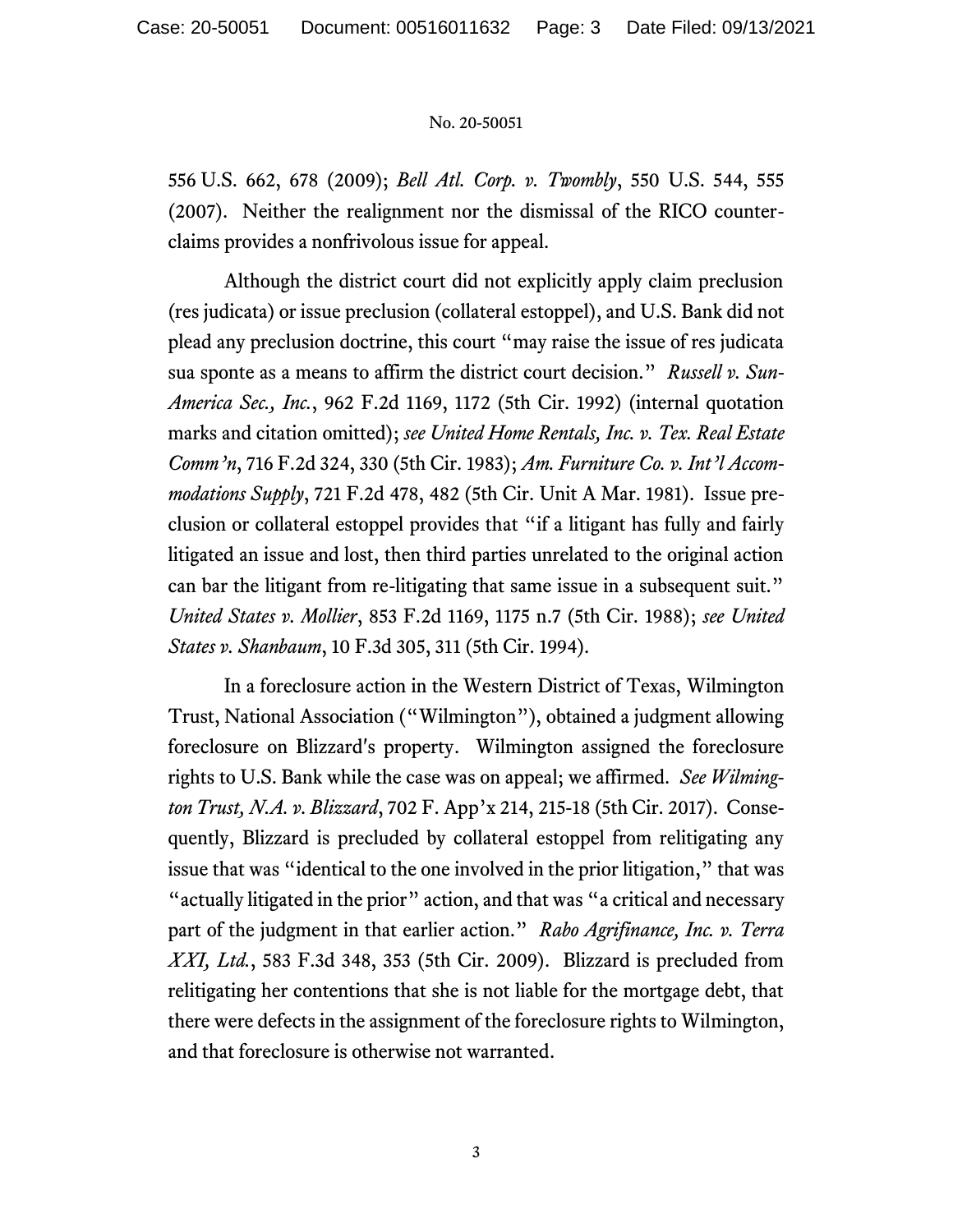## No. 20-50051

556 U.S. 662, 678 (2009); *Bell Atl. Corp. v. Twombly*, 550 U.S. 544, 555 (2007). Neither the realignment nor the dismissal of the RICO counterclaims provides a nonfrivolous issue for appeal.

Although the district court did not explicitly apply claim preclusion (res judicata) or issue preclusion (collateral estoppel), and U.S. Bank did not plead any preclusion doctrine, this court "may raise the issue of res judicata sua sponte as a means to affirm the district court decision." *Russell v. Sun-America Sec., Inc.*, 962 F.2d 1169, 1172 (5th Cir. 1992) (internal quotation marks and citation omitted); *see United Home Rentals, Inc. v. Tex. Real Estate Comm'n*, 716 F.2d 324, 330 (5th Cir. 1983); *Am. Furniture Co. v. Int'l Accommodations Supply*, 721 F.2d 478, 482 (5th Cir. Unit A Mar. 1981). Issue preclusion or collateral estoppel provides that "if a litigant has fully and fairly litigated an issue and lost, then third parties unrelated to the original action can bar the litigant from re-litigating that same issue in a subsequent suit." *United States v. Mollier*, 853 F.2d 1169, 1175 n.7 (5th Cir. 1988); *see United States v. Shanbaum*, 10 F.3d 305, 311 (5th Cir. 1994).

In a foreclosure action in the Western District of Texas, Wilmington Trust, National Association ("Wilmington"), obtained a judgment allowing foreclosure on Blizzard's property. Wilmington assigned the foreclosure rights to U.S. Bank while the case was on appeal; we affirmed. *See Wilmington Trust, N.A. v. Blizzard*, 702 F. App'x 214, 215-18 (5th Cir. 2017). Consequently, Blizzard is precluded by collateral estoppel from relitigating any issue that was "identical to the one involved in the prior litigation," that was "actually litigated in the prior" action, and that was "a critical and necessary part of the judgment in that earlier action." *Rabo Agrifinance, Inc. v. Terra XXI, Ltd.*, 583 F.3d 348, 353 (5th Cir. 2009). Blizzard is precluded from relitigating her contentions that she is not liable for the mortgage debt, that there were defects in the assignment of the foreclosure rights to Wilmington, and that foreclosure is otherwise not warranted.